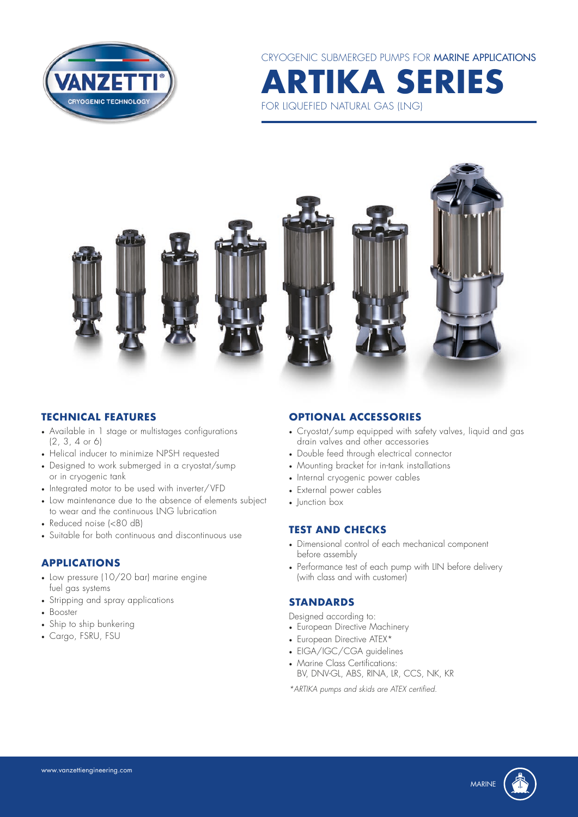

CRYOGENIC SUBMERGED PUMPS FOR MARINE APPLICATIONS **ARTIKA SERIES**

FOR LIQUEFIED NATURAL GAS (LNG)

#### **TECHNICAL FEATURES**

- Available in 1 stage or multistages configurations (2, 3, 4 or 6)
- Helical inducer to minimize NPSH requested
- Designed to work submerged in a cryostat/sump or in cryogenic tank
- Integrated motor to be used with inverter/VFD
- Low maintenance due to the absence of elements subject to wear and the continuous LNG lubrication
- Reduced noise (<80 dB)
- Suitable for both continuous and discontinuous use

## **APPLICATIONS**

- Low pressure (10/20 bar) marine engine fuel gas systems
- Stripping and spray applications
- Booster
- Ship to ship bunkering
- Cargo, FSRU, FSU

#### **OPTIONAL ACCESSORIES**

- Cryostat/sump equipped with safety valves, liquid and gas drain valves and other accessories
- Double feed through electrical connector
- Mounting bracket for in-tank installations
- Internal cryogenic power cables
- External power cables
- Iunction box

#### **TEST AND CHECKS**

- Dimensional control of each mechanical component before assembly
- Performance test of each pump with LIN before delivery (with class and with customer)

#### **STANDARDS**

Designed according to:

- European Directive Machinery
- European Directive ATEX\*
- EIGA/IGC/CGA guidelines
- Marine Class Certifications: BV, DNV-GL, ABS, RINA, LR, CCS, NK, KR

*\*ARTIKA pumps and skids are ATEX certified.*